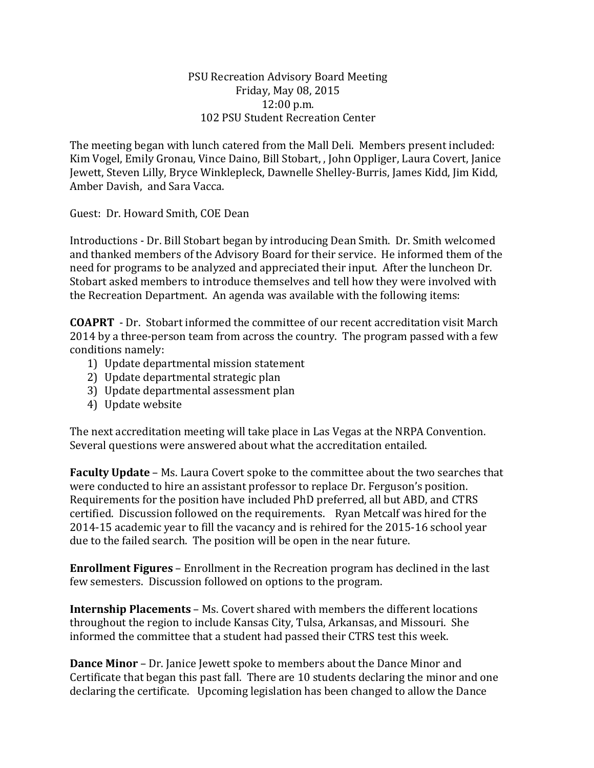## PSU Recreation Advisory Board Meeting Friday, May 08, 2015 12:00 p.m. 102 PSU Student Recreation Center

The meeting began with lunch catered from the Mall Deli. Members present included: Kim Vogel, Emily Gronau, Vince Daino, Bill Stobart, , John Oppliger, Laura Covert, Janice Jewett, Steven Lilly, Bryce Winklepleck, Dawnelle Shelley-Burris, James Kidd, Jim Kidd, Amber Davish, and Sara Vacca.

Guest: Dr. Howard Smith, COE Dean

Introductions - Dr. Bill Stobart began by introducing Dean Smith. Dr. Smith welcomed and thanked members of the Advisory Board for their service. He informed them of the need for programs to be analyzed and appreciated their input. After the luncheon Dr. Stobart asked members to introduce themselves and tell how they were involved with the Recreation Department. An agenda was available with the following items:

**COAPRT** - Dr. Stobart informed the committee of our recent accreditation visit March 2014 by a three-person team from across the country. The program passed with a few conditions namely:

- 1) Update departmental mission statement
- 2) Update departmental strategic plan
- 3) Update departmental assessment plan
- 4) Update website

The next accreditation meeting will take place in Las Vegas at the NRPA Convention. Several questions were answered about what the accreditation entailed.

**Faculty Update** – Ms. Laura Covert spoke to the committee about the two searches that were conducted to hire an assistant professor to replace Dr. Ferguson's position. Requirements for the position have included PhD preferred, all but ABD, and CTRS certified. Discussion followed on the requirements. Ryan Metcalf was hired for the 2014-15 academic year to fill the vacancy and is rehired for the 2015-16 school year due to the failed search. The position will be open in the near future.

**Enrollment Figures** – Enrollment in the Recreation program has declined in the last few semesters. Discussion followed on options to the program.

**Internship Placements** – Ms. Covert shared with members the different locations throughout the region to include Kansas City, Tulsa, Arkansas, and Missouri. She informed the committee that a student had passed their CTRS test this week.

**Dance Minor** – Dr. Janice Jewett spoke to members about the Dance Minor and Certificate that began this past fall. There are 10 students declaring the minor and one declaring the certificate. Upcoming legislation has been changed to allow the Dance